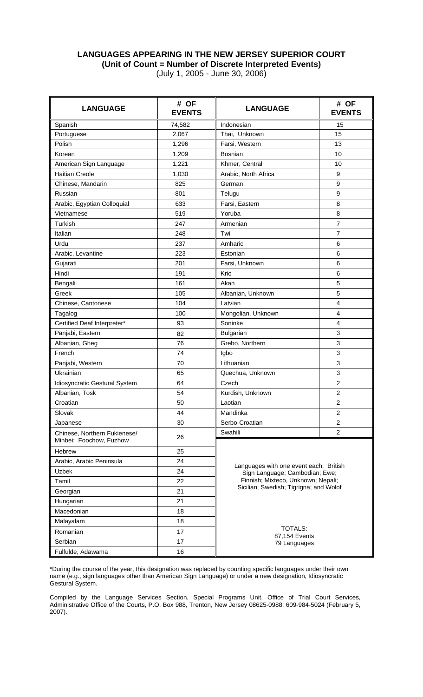## **LANGUAGES APPEARING IN THE NEW JERSEY SUPERIOR COURT (Unit of Count = Number of Discrete Interpreted Events)**  (July 1, 2005 - June 30, 2006)

| <b>LANGUAGE</b>                                         | # OF<br><b>EVENTS</b> | <b>LANGUAGE</b>                        | # OF<br><b>EVENTS</b> |  |  |  |  |
|---------------------------------------------------------|-----------------------|----------------------------------------|-----------------------|--|--|--|--|
| Spanish                                                 | 74,582                | Indonesian                             | 15                    |  |  |  |  |
| Portuguese                                              | 2,067                 | Thai, Unknown                          | 15                    |  |  |  |  |
| Polish                                                  | 1,296                 | Farsi, Western                         | 13                    |  |  |  |  |
| Korean                                                  | 1,209                 | Bosnian                                | 10                    |  |  |  |  |
| American Sign Language                                  | 1,221                 | Khmer, Central                         | 10                    |  |  |  |  |
| <b>Haitian Creole</b>                                   | 1,030                 | Arabic, North Africa                   | 9                     |  |  |  |  |
| Chinese, Mandarin                                       | 825                   | German                                 | 9                     |  |  |  |  |
| Russian                                                 | 801                   | Telugu                                 | 9                     |  |  |  |  |
| Arabic, Egyptian Colloquial                             | 633                   | Farsi, Eastern                         | 8                     |  |  |  |  |
| Vietnamese                                              | 519                   | Yoruba                                 | 8                     |  |  |  |  |
| Turkish                                                 | 247                   | Armenian                               | $\overline{7}$        |  |  |  |  |
| Italian                                                 | 248                   | Twi                                    | $\overline{7}$        |  |  |  |  |
| Urdu                                                    | 237                   | Amharic                                | 6                     |  |  |  |  |
| Arabic, Levantine                                       | 223                   | Estonian                               | 6                     |  |  |  |  |
| Gujarati                                                | 201                   | Farsi, Unknown                         | 6                     |  |  |  |  |
| Hindi                                                   | 191                   | Krio                                   | 6                     |  |  |  |  |
| Bengali                                                 | 161                   | Akan                                   | 5                     |  |  |  |  |
| Greek                                                   | 105                   | Albanian, Unknown                      | 5                     |  |  |  |  |
| Chinese, Cantonese                                      | 104                   | Latvian                                | 4                     |  |  |  |  |
| Tagalog                                                 | 100                   | Mongolian, Unknown                     | 4                     |  |  |  |  |
| Certified Deaf Interpreter*                             | 93                    | Soninke                                | 4                     |  |  |  |  |
| Panjabi, Eastern                                        | 82                    | <b>Bulgarian</b>                       | 3                     |  |  |  |  |
| Albanian, Gheg                                          | 76                    | Grebo, Northern                        | 3                     |  |  |  |  |
| French                                                  | 74                    | Igbo                                   | 3                     |  |  |  |  |
| Panjabi, Western                                        | 70                    | Lithuanian                             | 3                     |  |  |  |  |
| Ukrainian                                               | 65                    | Quechua, Unknown                       | 3                     |  |  |  |  |
| Idiosyncratic Gestural System                           | 64                    | Czech                                  | $\overline{c}$        |  |  |  |  |
| Albanian, Tosk                                          | 54                    | Kurdish, Unknown                       | $\overline{c}$        |  |  |  |  |
| Croatian                                                | 50                    | Laotian                                | $\overline{2}$        |  |  |  |  |
| Slovak                                                  | 44                    | Mandinka                               | $\overline{c}$        |  |  |  |  |
| Japanese                                                | 30                    | Serbo-Croatian                         | $\overline{c}$        |  |  |  |  |
| Chinese, Northern Fukienese/<br>Minbei: Foochow, Fuzhow | 26                    | Swahili                                | $\overline{c}$        |  |  |  |  |
| Hebrew                                                  | 25                    |                                        |                       |  |  |  |  |
| Arabic, Arabic Peninsula                                | 24                    | Languages with one event each: British |                       |  |  |  |  |
| Uzbek                                                   | 24                    | Sign Language; Cambodian; Ewe;         |                       |  |  |  |  |
| Tamil                                                   | 22                    | Finnish; Mixteco, Unknown; Nepali;     |                       |  |  |  |  |
| Georgian                                                | 21                    | Sicilian; Swedish; Tigrigna; and Wolof |                       |  |  |  |  |
| Hungarian                                               | 21                    |                                        |                       |  |  |  |  |
| Macedonian                                              | 18                    |                                        |                       |  |  |  |  |
| Malayalam                                               | 18                    |                                        |                       |  |  |  |  |
| Romanian                                                | 17                    | <b>TOTALS:</b>                         |                       |  |  |  |  |
| Serbian                                                 | 17                    | 87,154 Events<br>79 Languages          |                       |  |  |  |  |
| Fulfulde, Adawama                                       | 16                    |                                        |                       |  |  |  |  |

\*During the course of the year, this designation was replaced by counting specific languages under their own name (e.g., sign languages other than American Sign Language) or under a new designation, Idiosyncratic Gestural System.

Compiled by the Language Services Section, Special Programs Unit, Office of Trial Court Services, Administrative Office of the Courts, P.O. Box 988, Trenton, New Jersey 08625-0988: 609-984-5024 (February 5, 2007).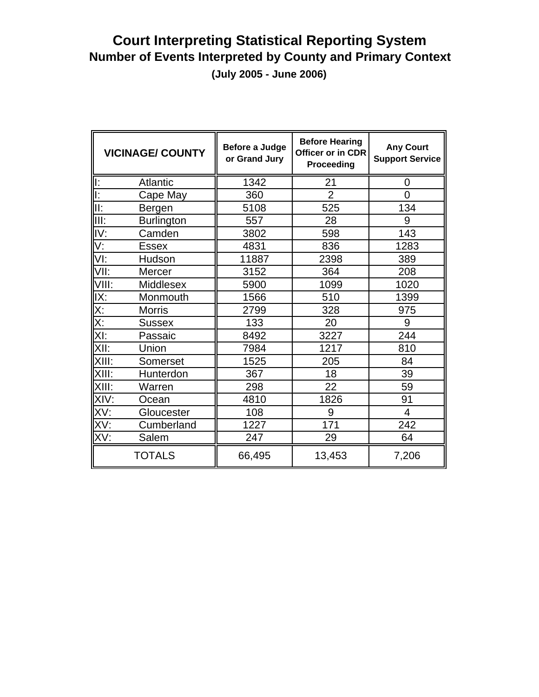# **Court Interpreting Statistical Reporting System Number of Events Interpreted by County and Primary Context (July 2005 - June 2006)**

|                           | <b>VICINAGE/ COUNTY</b> | Before a Judge<br>or Grand Jury | <b>Before Hearing</b><br>Officer or in CDR<br>Proceeding | <b>Any Court</b><br><b>Support Service</b> |  |  |
|---------------------------|-------------------------|---------------------------------|----------------------------------------------------------|--------------------------------------------|--|--|
| ll:                       | Atlantic                | 1342                            | 21                                                       | 0                                          |  |  |
| Ī.                        | Cape May                | 360                             | $\overline{2}$                                           | $\overline{0}$                             |  |  |
| II:                       | Bergen                  | 5108                            | 525                                                      | 134                                        |  |  |
| III:                      | <b>Burlington</b>       | 557                             | 28                                                       | 9                                          |  |  |
| IV:                       | Camden                  | 3802                            | 598                                                      | 143                                        |  |  |
| $\overline{\mathsf{V}}$ : | <b>Essex</b>            | 4831                            | 836                                                      | 1283                                       |  |  |
| VI:                       | Hudson                  | 11887                           | 2398                                                     | 389                                        |  |  |
| VII:                      | Mercer                  | 3152                            | 364                                                      | 208                                        |  |  |
| VIII:                     | Middlesex               | 5900                            | 1099                                                     | 1020                                       |  |  |
| IX:                       | Monmouth                | 1566                            | 510                                                      | 1399                                       |  |  |
| X:                        | <b>Morris</b>           | 2799                            | 328                                                      | 975                                        |  |  |
| Χ:                        | <b>Sussex</b>           | 133                             | 20                                                       | 9                                          |  |  |
| XI:                       | Passaic                 | 8492                            | 3227                                                     | 244                                        |  |  |
| XII:                      | Union                   | 7984                            | 1217                                                     | 810                                        |  |  |
| XIII:                     | Somerset                | 1525                            | 205                                                      | 84                                         |  |  |
| XIII:                     | Hunterdon               | 367                             | 18                                                       | 39                                         |  |  |
| XIII:                     | Warren                  | 298                             | 22                                                       | 59                                         |  |  |
| XIV:                      | Ocean                   | 4810                            | 1826                                                     | 91                                         |  |  |
| XV:                       | Gloucester              | 108                             | 9                                                        | $\overline{4}$                             |  |  |
| XV:                       | Cumberland              | 1227                            | 171                                                      | 242                                        |  |  |
| XV:                       | Salem                   | 247                             | 29                                                       | 64                                         |  |  |
|                           | <b>TOTALS</b>           | 66,495                          | 13,453                                                   | 7,206                                      |  |  |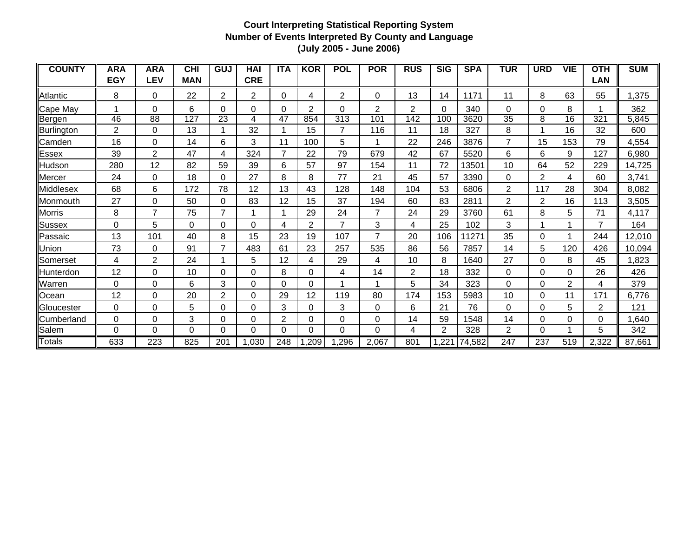| <b>COUNTY</b>    | <b>ARA</b>     | <b>ARA</b>     | <b>CHI</b> | GUJ            | <b>HAI</b>     | <b>ITA</b>   | <b>KOR</b>     | <b>POL</b>     | <b>POR</b> | <b>RUS</b> | <b>SIG</b>     | <b>SPA</b> | <b>TUR</b>     | <b>URD</b>     | <b>VIE</b>     | <b>OTH</b>   | <b>SUM</b> |
|------------------|----------------|----------------|------------|----------------|----------------|--------------|----------------|----------------|------------|------------|----------------|------------|----------------|----------------|----------------|--------------|------------|
|                  | <b>EGY</b>     | <b>LEV</b>     | <b>MAN</b> |                | <b>CRE</b>     |              |                |                |            |            |                |            |                |                |                | <b>LAN</b>   |            |
| <b>Atlantic</b>  | 8              | 0              | 22         | $\overline{2}$ | $\overline{c}$ | $\Omega$     | 4              | $\overline{2}$ | $\Omega$   | 13         | 14             | 1171       | 11             | 8              | 63             | 55           | 1,375      |
| Cape May         |                | 0              | 6          | $\Omega$       | 0              | <sup>0</sup> | 2              | $\Omega$       | 2          | 2          | 0              | 340        | $\Omega$       | $\Omega$       | 8              |              | 362        |
| Bergen           | 46             | 88             | 127        | 23             | 4              | 47           | 854            | 313            | 101        | 142        | 100            | 3620       | 35             | 8              | 16             | 321          | 5,845      |
| Burlington       | $\overline{2}$ | $\Omega$       | 13         |                | 32             |              | 15             | $\overline{7}$ | 116        | 11         | 18             | 327        | 8              |                | 16             | 32           | 600        |
| Camden           | 16             | $\Omega$       | 14         | 6              | 3              | 11           | 100            | 5              |            | 22         | 246            | 3876       | $\overline{7}$ | 15             | 153            | 79           | 4,554      |
| Essex            | 39             | $\overline{2}$ | 47         | 4              | 324            |              | 22             | 79             | 679        | 42         | 67             | 5520       | 6              | 6              | 9              | 127          | 6,980      |
| Hudson           | 280            | 12             | 82         | 59             | 39             | 6            | 57             | 97             | 154        | 11         | 72             | 13501      | 10             | 64             | 52             | 229          | 14,725     |
| Mercer           | 24             | 0              | 18         | 0              | 27             | 8            | 8              | 77             | 21         | 45         | 57             | 3390       | 0              | 2              | 4              | 60           | 3,741      |
| Middlesex        | 68             | 6              | 172        | 78             | 12             | 13           | 43             | 128            | 148        | 104        | 53             | 6806       | $\overline{2}$ | 117            | 28             | 304          | 8,082      |
| Monmouth         | 27             | 0              | 50         | $\Omega$       | 83             | 12           | 15             | 37             | 194        | 60         | 83             | 2811       | $\overline{2}$ | $\overline{2}$ | 16             | 113          | 3,505      |
| Morris           | 8              | 7              | 75         | $\overline{7}$ |                |              | 29             | 24             | 7          | 24         | 29             | 3760       | 61             | 8              | 5              | 71           | 4,117      |
| Sussex           | $\Omega$       | 5              | $\Omega$   | 0              | 0              | 4            | $\overline{2}$ | 7              | 3          | 4          | 25             | 102        | 3              |                |                | 7            | 164        |
| Passaic          | 13             | 101            | 40         | 8              | 15             | 23           | 19             | 107            |            | 20         | 106            | 11271      | 35             | $\Omega$       |                | 244          | 12,010     |
| Union            | 73             | 0              | 91         | 7              | 483            | 61           | 23             | 257            | 535        | 86         | 56             | 7857       | 14             | 5              | 120            | 426          | 10,094     |
| Somerset         | 4              | 2              | 24         |                | 5              | 12           | 4              | 29             | 4          | 10         | 8              | 1640       | 27             | 0              | 8              | 45           | 1,823      |
| <b>Hunterdon</b> | 12             | 0              | 10         | 0              | 0              | 8            | 0              | 4              | 14         | 2          | 18             | 332        | 0              | $\Omega$       | 0              | 26           | 426        |
| Warren           | $\Omega$       | 0              | 6          | 3              | 0              | $\Omega$     | 0              |                |            | 5          | 34             | 323        | 0              | $\Omega$       | $\overline{2}$ | 4            | 379        |
| Ocean            | 12             | 0              | 20         | 2              | 0              | 29           | 12             | 119            | 80         | 174        | 153            | 5983       | 10             | $\Omega$       | 11             | 171          | 6,776      |
| Gloucester       | $\Omega$       | 0              | 5          | $\Omega$       | 0              | 3            | 0              | 3              | 0          | 6          | 21             | 76         | 0              | $\Omega$       | 5              | $\mathbf{2}$ | 121        |
| Cumberland       | $\Omega$       | 0              | 3          | $\Omega$       | 0              | 2            | 0              | $\Omega$       | 0          | 14         | 59             | 1548       | 14             | $\Omega$       | 0              | 0            | ,640       |
| Salem            | 0              | 0              | 0          | 0              | $\Omega$       | 0            | 0              | 0              | 0          | 4          | $\overline{2}$ | 328        | 2              | $\Omega$       |                | 5            | 342        |
| Totals           | 633            | 223            | 825        | 201            | 1,030          | 248          | ,209           | .296           | 2,067      | 801        | 1,221          | 74,582     | 247            | 237            | 519            | 2,322        | 87,661     |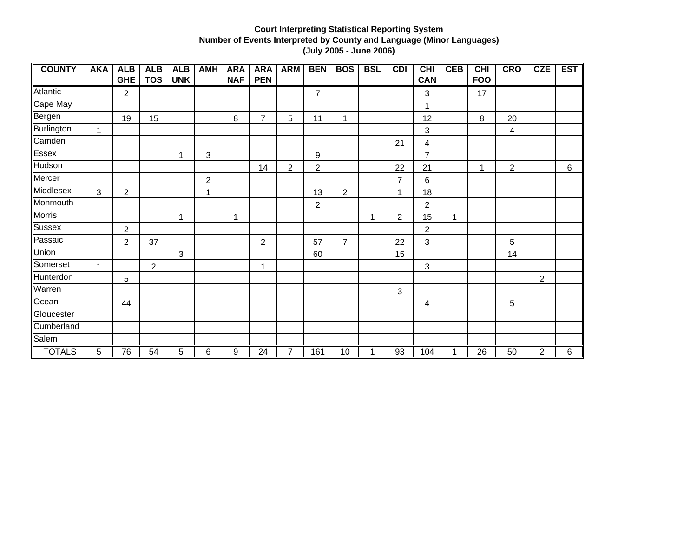| <b>COUNTY</b> | <b>AKA</b> | <b>ALB</b>     | <b>ALB</b>     | <b>ALB</b> | <b>AMH</b>     | <b>ARA</b> | <b>ARA</b>     | <b>ARM</b>     | <b>BEN</b>     | <b>BOS</b>       | <b>BSL</b> | <b>CDI</b>     | CHI            | <b>CEB</b> | <b>CHI</b> | <b>CRO</b>     | <b>CZE</b>     | <b>EST</b> |
|---------------|------------|----------------|----------------|------------|----------------|------------|----------------|----------------|----------------|------------------|------------|----------------|----------------|------------|------------|----------------|----------------|------------|
|               |            | <b>GHE</b>     | <b>TOS</b>     | <b>UNK</b> |                | <b>NAF</b> | <b>PEN</b>     |                |                |                  |            |                | <b>CAN</b>     |            | <b>FOO</b> |                |                |            |
| Atlantic      |            | $\overline{2}$ |                |            |                |            |                |                | $\overline{7}$ |                  |            |                | 3              |            | 17         |                |                |            |
| Cape May      |            |                |                |            |                |            |                |                |                |                  |            |                | 1              |            |            |                |                |            |
| Bergen        |            | 19             | 15             |            |                | 8          | $\overline{7}$ | 5              | 11             | 1                |            |                | 12             |            | 8          | 20             |                |            |
| Burlington    | 1          |                |                |            |                |            |                |                |                |                  |            |                | $\mathfrak{S}$ |            |            | 4              |                |            |
| Camden        |            |                |                |            |                |            |                |                |                |                  |            | 21             | 4              |            |            |                |                |            |
| Essex         |            |                |                | 1          | 3              |            |                |                | 9              |                  |            |                | 7              |            |            |                |                |            |
| Hudson        |            |                |                |            |                |            | 14             | $\overline{2}$ | $\overline{2}$ |                  |            | 22             | 21             |            | 1          | $\overline{2}$ |                | 6          |
| Mercer        |            |                |                |            | $\overline{2}$ |            |                |                |                |                  |            | $\overline{7}$ | 6              |            |            |                |                |            |
| Middlesex     | 3          | $\overline{2}$ |                |            | 1              |            |                |                | 13             | $\boldsymbol{2}$ |            | 1              | 18             |            |            |                |                |            |
| Monmouth      |            |                |                |            |                |            |                |                | $\overline{c}$ |                  |            |                | $\overline{2}$ |            |            |                |                |            |
| Morris        |            |                |                | 1          |                | 1          |                |                |                |                  | 1          | $\overline{2}$ | 15             | 1          |            |                |                |            |
| Sussex        |            | $\overline{2}$ |                |            |                |            |                |                |                |                  |            |                | 2              |            |            |                |                |            |
| Passaic       |            | $\overline{2}$ | 37             |            |                |            | $\overline{c}$ |                | 57             | $\overline{7}$   |            | 22             | 3              |            |            | 5              |                |            |
| Union         |            |                |                | 3          |                |            |                |                | 60             |                  |            | 15             |                |            |            | 14             |                |            |
| Somerset      | 1          |                | $\overline{2}$ |            |                |            | 1              |                |                |                  |            |                | 3              |            |            |                |                |            |
| Hunterdon     |            | 5              |                |            |                |            |                |                |                |                  |            |                |                |            |            |                | $\overline{2}$ |            |
| Warren        |            |                |                |            |                |            |                |                |                |                  |            | 3              |                |            |            |                |                |            |
| Ocean         |            | 44             |                |            |                |            |                |                |                |                  |            |                | 4              |            |            | 5              |                |            |
| Gloucester    |            |                |                |            |                |            |                |                |                |                  |            |                |                |            |            |                |                |            |
| Cumberland    |            |                |                |            |                |            |                |                |                |                  |            |                |                |            |            |                |                |            |
| Salem         |            |                |                |            |                |            |                |                |                |                  |            |                |                |            |            |                |                |            |
| <b>TOTALS</b> | 5          | 76             | 54             | 5          | 6              | 9          | 24             | $\overline{7}$ | 161            | 10               |            | 93             | 104            |            | 26         | 50             | $\overline{2}$ | 6          |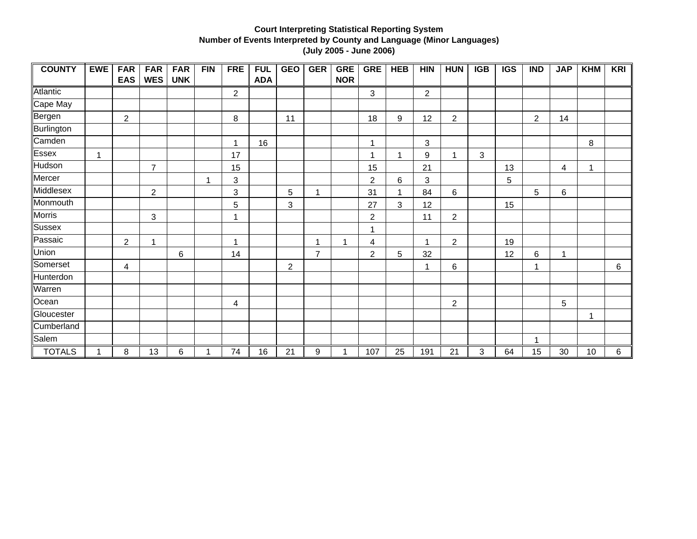| <b>COUNTY</b> | <b>EWE</b> | <b>FAR</b>     | <b>FAR</b>     | <b>FAR</b> | FIN | <b>FRE</b>       | <b>FUL</b> | <b>GEO</b>     | <b>GER</b>     | <b>GRE</b> | <b>GRE</b>     | <b>HEB</b> | <b>HIN</b>       | <b>HUN</b>     | <b>IGB</b> | <b>IGS</b> | <b>IND</b>     | <b>JAP</b> | <b>KHM</b> | <b>KRI</b> |
|---------------|------------|----------------|----------------|------------|-----|------------------|------------|----------------|----------------|------------|----------------|------------|------------------|----------------|------------|------------|----------------|------------|------------|------------|
|               |            | <b>EAS</b>     | <b>WES</b>     | <b>UNK</b> |     |                  | <b>ADA</b> |                |                | <b>NOR</b> |                |            |                  |                |            |            |                |            |            |            |
| Atlantic      |            |                |                |            |     | $\boldsymbol{2}$ |            |                |                |            | $\mathbf{3}$   |            | $\boldsymbol{2}$ |                |            |            |                |            |            |            |
| Cape May      |            |                |                |            |     |                  |            |                |                |            |                |            |                  |                |            |            |                |            |            |            |
| Bergen        |            | $\overline{2}$ |                |            |     | 8                |            | 11             |                |            | 18             | 9          | 12               | $\overline{c}$ |            |            | $\overline{2}$ | 14         |            |            |
| Burlington    |            |                |                |            |     |                  |            |                |                |            |                |            |                  |                |            |            |                |            |            |            |
| Camden        |            |                |                |            |     | 1                | 16         |                |                |            |                |            | 3                |                |            |            |                |            | 8          |            |
| Essex         | 1          |                |                |            |     | 17               |            |                |                |            | -1             |            | 9                | 1              | 3          |            |                |            |            |            |
| Hudson        |            |                | $\overline{7}$ |            |     | 15               |            |                |                |            | 15             |            | 21               |                |            | 13         |                | 4          | 1          |            |
| Mercer        |            |                |                |            | 1   | 3                |            |                |                |            | $\overline{2}$ | 6          | 3                |                |            | 5          |                |            |            |            |
| Middlesex     |            |                | $\overline{c}$ |            |     | 3                |            | 5              |                |            | 31             |            | 84               | $\,6\,$        |            |            | 5              | 6          |            |            |
| Monmouth      |            |                |                |            |     | 5                |            | 3              |                |            | 27             | 3          | 12               |                |            | 15         |                |            |            |            |
| <b>Morris</b> |            |                | 3              |            |     |                  |            |                |                |            | $\overline{c}$ |            | 11               | $\overline{c}$ |            |            |                |            |            |            |
| Sussex        |            |                |                |            |     |                  |            |                |                |            | 1              |            |                  |                |            |            |                |            |            |            |
| Passaic       |            | $\overline{2}$ | 1              |            |     | 1                |            |                |                | 1          | 4              |            | 1                | $\overline{2}$ |            | 19         |                |            |            |            |
| Union         |            |                |                | 6          |     | 14               |            |                | $\overline{7}$ |            | $\overline{2}$ | 5          | 32               |                |            | 12         | 6              | 1          |            |            |
| Somerset      |            | 4              |                |            |     |                  |            | $\overline{2}$ |                |            |                |            | 1                | 6              |            |            | 1              |            |            | 6          |
| Hunterdon     |            |                |                |            |     |                  |            |                |                |            |                |            |                  |                |            |            |                |            |            |            |
| Warren        |            |                |                |            |     |                  |            |                |                |            |                |            |                  |                |            |            |                |            |            |            |
| Ocean         |            |                |                |            |     | 4                |            |                |                |            |                |            |                  | $\overline{2}$ |            |            |                | 5          |            |            |
| Gloucester    |            |                |                |            |     |                  |            |                |                |            |                |            |                  |                |            |            |                |            | 1          |            |
| Cumberland    |            |                |                |            |     |                  |            |                |                |            |                |            |                  |                |            |            |                |            |            |            |
| Salem         |            |                |                |            |     |                  |            |                |                |            |                |            |                  |                |            |            | 1              |            |            |            |
| <b>TOTALS</b> | 1          | 8              | 13             | 6          | 1   | 74               | 16         | 21             | 9              | 1          | 107            | 25         | 191              | 21             | 3          | 64         | 15             | 30         | 10         | 6          |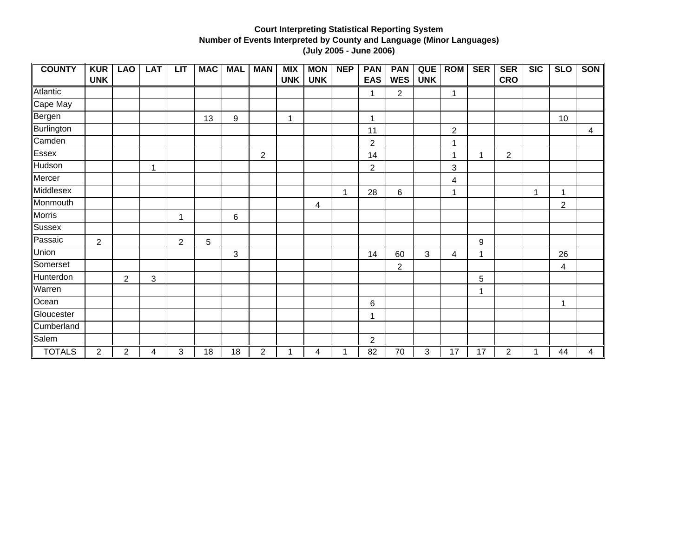| <b>COUNTY</b> | <b>KUR</b>     | <b>LAO</b>     | <b>LAT</b>   | LT             | <b>MAC</b> | <b>MAL</b>       | <b>MAN</b>       | <b>MIX</b> | <b>MON</b> | <b>NEP</b>   | <b>PAN</b>     | <b>PAN</b>     | QUE        | <b>ROM</b>     | <b>SER</b>   | <b>SER</b>     | $\overline{\text{SIC}}$ | <b>SLO</b>     | <b>SON</b> |
|---------------|----------------|----------------|--------------|----------------|------------|------------------|------------------|------------|------------|--------------|----------------|----------------|------------|----------------|--------------|----------------|-------------------------|----------------|------------|
|               | <b>UNK</b>     |                |              |                |            |                  |                  | <b>UNK</b> | <b>UNK</b> |              | <b>EAS</b>     | <b>WES</b>     | <b>UNK</b> |                |              | <b>CRO</b>     |                         |                |            |
| Atlantic      |                |                |              |                |            |                  |                  |            |            |              | 1              | 2              |            | 1              |              |                |                         |                |            |
| Cape May      |                |                |              |                |            |                  |                  |            |            |              |                |                |            |                |              |                |                         |                |            |
| Bergen        |                |                |              |                | 13         | $\boldsymbol{9}$ |                  | 1          |            |              | 1              |                |            |                |              |                |                         | 10             |            |
| Burlington    |                |                |              |                |            |                  |                  |            |            |              | 11             |                |            | $\overline{c}$ |              |                |                         |                | 4          |
| Camden        |                |                |              |                |            |                  |                  |            |            |              | $\overline{2}$ |                |            | 1              |              |                |                         |                |            |
| Essex         |                |                |              |                |            |                  | $\overline{2}$   |            |            |              | 14             |                |            | 1              | 1            | $\overline{c}$ |                         |                |            |
| Hudson        |                |                | $\mathbf{1}$ |                |            |                  |                  |            |            |              | $\overline{2}$ |                |            | 3              |              |                |                         |                |            |
| Mercer        |                |                |              |                |            |                  |                  |            |            |              |                |                |            | 4              |              |                |                         |                |            |
| Middlesex     |                |                |              |                |            |                  |                  |            |            | $\mathbf{1}$ | 28             | 6              |            | 1              |              |                | 1                       | 1              |            |
| Monmouth      |                |                |              |                |            |                  |                  |            | 4          |              |                |                |            |                |              |                |                         | $\overline{2}$ |            |
| Morris        |                |                |              | 1              |            | 6                |                  |            |            |              |                |                |            |                |              |                |                         |                |            |
| <b>Sussex</b> |                |                |              |                |            |                  |                  |            |            |              |                |                |            |                |              |                |                         |                |            |
| Passaic       | $\overline{2}$ |                |              | $\overline{2}$ | 5          |                  |                  |            |            |              |                |                |            |                | 9            |                |                         |                |            |
| Union         |                |                |              |                |            | $\mathbf{3}$     |                  |            |            |              | 14             | 60             | 3          | 4              | 1            |                |                         | 26             |            |
| Somerset      |                |                |              |                |            |                  |                  |            |            |              |                | $\overline{c}$ |            |                |              |                |                         | 4              |            |
| Hunterdon     |                | $\overline{2}$ | 3            |                |            |                  |                  |            |            |              |                |                |            |                | 5            |                |                         |                |            |
| Warren        |                |                |              |                |            |                  |                  |            |            |              |                |                |            |                | $\mathbf{1}$ |                |                         |                |            |
| Ocean         |                |                |              |                |            |                  |                  |            |            |              | 6              |                |            |                |              |                |                         | 1              |            |
| Gloucester    |                |                |              |                |            |                  |                  |            |            |              |                |                |            |                |              |                |                         |                |            |
| Cumberland    |                |                |              |                |            |                  |                  |            |            |              |                |                |            |                |              |                |                         |                |            |
| Salem         |                |                |              |                |            |                  |                  |            |            |              | $\overline{2}$ |                |            |                |              |                |                         |                |            |
| <b>TOTALS</b> | $\overline{2}$ | $\overline{2}$ | 4            | 3              | 18         | 18               | $\boldsymbol{2}$ | 1          | 4          |              | 82             | 70             | 3          | 17             | 17           | $\overline{2}$ |                         | 44             | 4          |